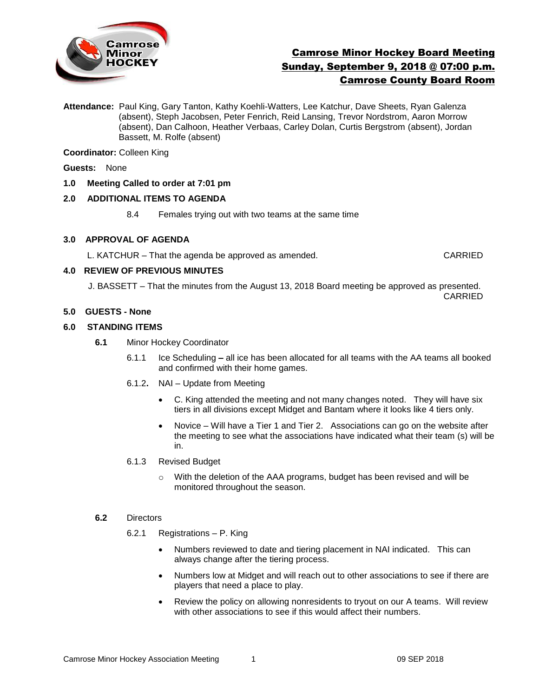

# Camrose Minor Hockey Board Meeting Sunday, September 9, 2018 @ 07:00 p.m. Camrose County Board Room

**Attendance:** Paul King, Gary Tanton, Kathy Koehli-Watters, Lee Katchur, Dave Sheets, Ryan Galenza (absent), Steph Jacobsen, Peter Fenrich, Reid Lansing, Trevor Nordstrom, Aaron Morrow (absent), Dan Calhoon, Heather Verbaas, Carley Dolan, Curtis Bergstrom (absent), Jordan Bassett, M. Rolfe (absent)

**Coordinator:** Colleen King

**Guests:** None

### **1.0 Meeting Called to order at 7:01 pm**

### **2.0 ADDITIONAL ITEMS TO AGENDA**

8.4 Females trying out with two teams at the same time

### **3.0 APPROVAL OF AGENDA**

L. KATCHUR – That the agenda be approved as amended. CARRIED

### **4.0 REVIEW OF PREVIOUS MINUTES**

 J. BASSETT – That the minutes from the August 13, 2018 Board meeting be approved as presented. CARRIED

### **5.0 GUESTS - None**

### **6.0 STANDING ITEMS**

- **6.1** Minor Hockey Coordinator
	- 6.1.1 Ice Scheduling **–** all ice has been allocated for all teams with the AA teams all booked and confirmed with their home games.
	- 6.1.2**.** NAI Update from Meeting
		- C. King attended the meeting and not many changes noted. They will have six tiers in all divisions except Midget and Bantam where it looks like 4 tiers only.
		- Novice Will have a Tier 1 and Tier 2. Associations can go on the website after the meeting to see what the associations have indicated what their team (s) will be in.
	- 6.1.3 Revised Budget
		- $\circ$  With the deletion of the AAA programs, budget has been revised and will be monitored throughout the season.

#### **6.2** Directors

- 6.2.1 Registrations P. King
	- Numbers reviewed to date and tiering placement in NAI indicated. This can always change after the tiering process.
	- Numbers low at Midget and will reach out to other associations to see if there are players that need a place to play.
	- Review the policy on allowing nonresidents to tryout on our A teams. Will review with other associations to see if this would affect their numbers.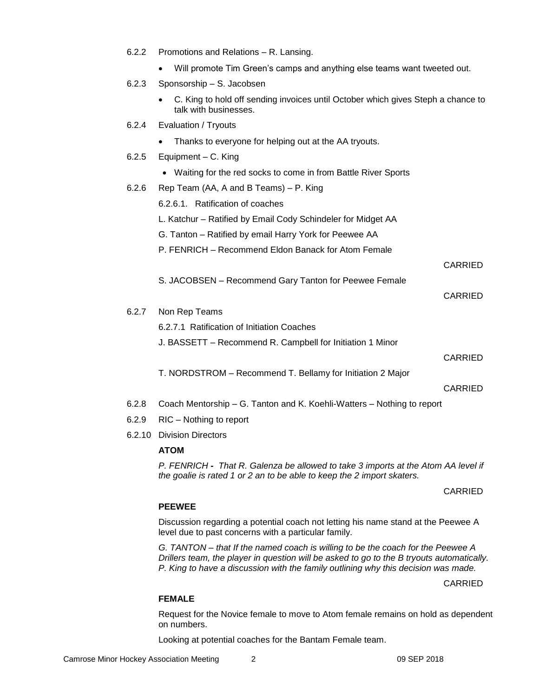- 6.2.2 Promotions and Relations R. Lansing.
	- Will promote Tim Green's camps and anything else teams want tweeted out.
- 6.2.3 Sponsorship S. Jacobsen
	- C. King to hold off sending invoices until October which gives Steph a chance to talk with businesses.
- 6.2.4 Evaluation / Tryouts
	- Thanks to everyone for helping out at the AA tryouts.
- 6.2.5 Equipment C. King
	- Waiting for the red socks to come in from Battle River Sports
- 6.2.6 Rep Team (AA, A and B Teams) P. King

6.2.6.1. Ratification of coaches

L. Katchur – Ratified by Email Cody Schindeler for Midget AA

- G. Tanton Ratified by email Harry York for Peewee AA
- P. FENRICH Recommend Eldon Banack for Atom Female

CARRIED

S. JACOBSEN – Recommend Gary Tanton for Peewee Female

#### CARRIED

6.2.7 Non Rep Teams

6.2.7.1 Ratification of Initiation Coaches

J. BASSETT – Recommend R. Campbell for Initiation 1 Minor

CARRIED

T. NORDSTROM – Recommend T. Bellamy for Initiation 2 Major

#### CARRIED

- 6.2.8 Coach Mentorship G. Tanton and K. Koehli-Watters Nothing to report
- 6.2.9 RIC Nothing to report
- 6.2.10 Division Directors

### **ATOM**

*P. FENRICH - That R. Galenza be allowed to take 3 imports at the Atom AA level if the goalie is rated 1 or 2 an to be able to keep the 2 import skaters.* 

### CARRIED

### **PEEWEE**

Discussion regarding a potential coach not letting his name stand at the Peewee A level due to past concerns with a particular family.

*G. TANTON – that If the named coach is willing to be the coach for the Peewee A Drillers team, the player in question will be asked to go to the B tryouts automatically. P. King to have a discussion with the family outlining why this decision was made.* 

CARRIED

#### **FEMALE**

Request for the Novice female to move to Atom female remains on hold as dependent on numbers.

Looking at potential coaches for the Bantam Female team.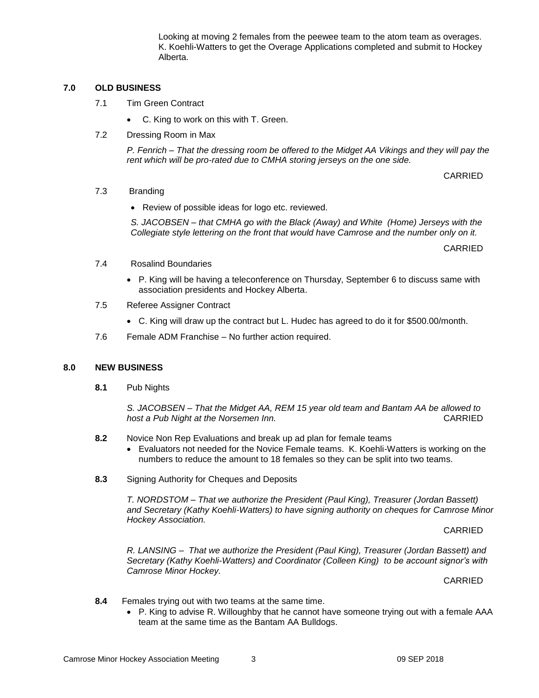Looking at moving 2 females from the peewee team to the atom team as overages. K. Koehli-Watters to get the Overage Applications completed and submit to Hockey Alberta.

### **7.0 OLD BUSINESS**

- 7.1 Tim Green Contract
	- C. King to work on this with T. Green.
- 7.2 Dressing Room in Max

*P. Fenrich – That the dressing room be offered to the Midget AA Vikings and they will pay the rent which will be pro-rated due to CMHA storing jerseys on the one side.* 

CARRIED

### 7.3 Branding

• Review of possible ideas for logo etc. reviewed.

*S. JACOBSEN – that CMHA go with the Black (Away) and White (Home) Jerseys with the Collegiate style lettering on the front that would have Camrose and the number only on it.* 

CARRIED

- 7.4 Rosalind Boundaries
	- P. King will be having a teleconference on Thursday, September 6 to discuss same with association presidents and Hockey Alberta.
- 7.5 Referee Assigner Contract
	- C. King will draw up the contract but L. Hudec has agreed to do it for \$500.00/month.
- 7.6 Female ADM Franchise No further action required.

### **8.0 NEW BUSINESS**

**8.1** Pub Nights

*S. JACOBSEN – That the Midget AA, REM 15 year old team and Bantam AA be allowed to host a Pub Night at the Norsemen Inn.* CARRIED

- **8.2** Novice Non Rep Evaluations and break up ad plan for female teams
	- Evaluators not needed for the Novice Female teams. K. Koehli-Watters is working on the numbers to reduce the amount to 18 females so they can be split into two teams.
- **8.3** Signing Authority for Cheques and Deposits

*T. NORDSTOM – That we authorize the President (Paul King), Treasurer (Jordan Bassett) and Secretary (Kathy Koehli-Watters) to have signing authority on cheques for Camrose Minor Hockey Association.* 

CARRIED

*R. LANSING* – *That we authorize the President (Paul King), Treasurer (Jordan Bassett) and Secretary (Kathy Koehli-Watters) and Coordinator (Colleen King) to be account signor's with Camrose Minor Hockey.* 

CARRIED

- **8.4** Females trying out with two teams at the same time.
	- P. King to advise R. Willoughby that he cannot have someone trying out with a female AAA team at the same time as the Bantam AA Bulldogs.